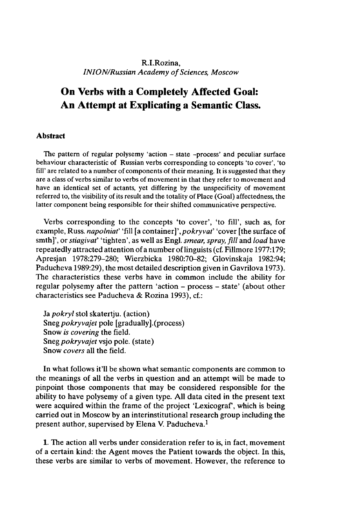## R.I.Rozina, *INION/Russian Academy of Sciences, Moscow*

# **On Verbs with a Completely Affected Goal: An Attempt at Explicating a Semantic Class.**

### **Abstract**

The pattern of regular polysemy 'action - state -process' and peculiar surface behaviour characteristic of Russian verbs corresponding to concepts 'to cover', 'to fill' are related to a number of components of their meaning. It is suggested that they are a class of verbs similar to verbs of movement in that they refer to movement and have an identical set of actants, yet differing by the unspecificity of movement referred to, the visibility of its result and the totality of Place (Goal) affectedness, the latter component being responsible for their shifted communicative perspective.

Verbs corresponding to the concepts 'to cover', 'to fill', such as, for example, Russ. *napolniaf* 'fill [a container]*\pokryvaf* 'cover [the surface of smth]', or *stiagivaf* 'tighten', as well as Engl, *smear, spray, fill* and *load* have repeatedly attracted attention of a number of linguists (cf. Fillmore 1977:179; Apresjan 1978:279-280; Wierzbicka 1980:70-82; Glovinskaja 1982:94; Paducheva 1989:29), the most detailed description given in Gavrilova 1973). The characteristics these verbs have in common include the ability for regular polysemy after the pattern 'action - process - state' (about other characteristics see Paducheva & Rozina 1993), cf.:

Ja *pokryl* stol skatertju. (action) Sneg*pokryvajet* pole [gradually].(process) Snow *is covering* the field. Sneg *pokryvajet* vsjo pole, (state) Snow *covers* all the field.

In what follows it'll be shown what semantic components are common to the meanings of all the verbs in question and an attempt will be made to pinpoint those components that may be considered responsible for the ability to have polysemy of a given type. All data cited in the present text were acquired within the frame of the project 'Lexicograf, which is being carried out in Moscow by an interinstitutional research group including the present author, supervised by Elena V. Paducheva.<sup>1</sup>

1. The action all verbs under consideration refer to is, in fact, movement of a certain kind: the Agent moves the Patient towards the object. In this, these verbs are similar to verbs of movement. However, the reference to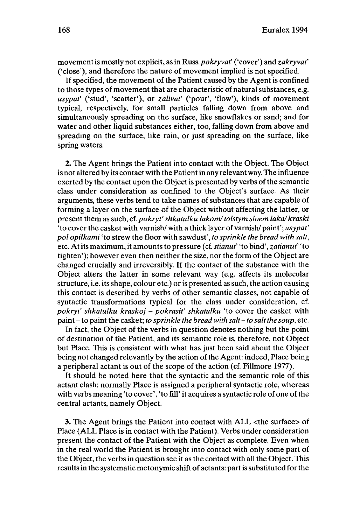movementis mostly not explicit, as in Russ. *pokryvat'* ('cover') and *zakryvaf* ('close'), and therefore the nature of movement implied is not specified.

If specified, the movement of the Patient caused by the Agent is confined to those types of movement that are characteristic of natural substances, e.g. *usypat'* ('stud', 'scatter'), or *zalivaf* ('pour', 'flow'), kinds of movement typical, respectively, for small particles falling down from above and simultaneously spreading on the surface, like snowflakes or sand; and for water and other liquid substances either, too, falling down from above and spreading on the surface, like rain, or just spreading on the surface, like spring waters.

2. The Agent brings the Patient into contact with the Object. The Object is not altered by its contact with the Patientin any relevant way. The influence exerted by the contact upon the Object is presented by verbs of the semantic class under consideration as confined to the Object's surface. As their arguments, these verbs tend to take names of substances that are capable of forming a layer on the surface of the Object without affecting the latter, or present them as such, cf. *pokryt'shkatulku lakom/tolstym sloem laka/ kra•ki* 'to cover the casket with varnish/ with a thick layer of varnish/ paint'; *usypat' pol opilkami* 'to strew the floor with sawdust', *to sprinkle the bread with salt,* etc. Atits maximum, it amounts to pressure (cf. *stianuf* 'to bind', *zatianuf* 'to tighten'); however even then neither the size, nor the form of the Object are changed crucially and irreversibly. If the contact of the substance with the Object alters the latter in some relevant way (e.g. affects its molecular structure, i.e. its shape, colour etc.) or is presented as such, the action causing this contact is described by verbs of other semantic classes, not capable of syntactic transformations typical for the class under consideration, cf. *pokryt' shkatulku kra•ko] - pokrasit' shkatulku* 'to cover the casket with paint-to paint the casket; *to sprinkle the bread with salt-to saltthe soup,* etc.

In fact, the Object of the verbs in question denotes nothing but the point of destination of the Patient, and its semantic role is, therefore, not Object but Place. This is consistent with what has just been said about the Object being not changed relevantly by the action of the Agent: indeed, Place being a peripheral actant is out of the scope of the action (cf. Fillmore 1977).

It should be noted here that the syntactic and the semantic role of this actant clash: normally Place is assigned a peripheral syntactic role, whereas with verbs meaning 'to cover', 'to fill' it acquires a syntactic role of one of the central actants, namely Object.

3. The Agent brings the Patient into contact with ALL <the surface> of Place (ALL Place is in contact with the Patient). Verbs under consideration present the contact of the Patient with the Object as complete. Even when in the real world the Patient is brought into contact with only some part of the Object, the verbs in question see it as the contact with all the Object. This results in the systematic metonymic shift of actants: part is substituted for the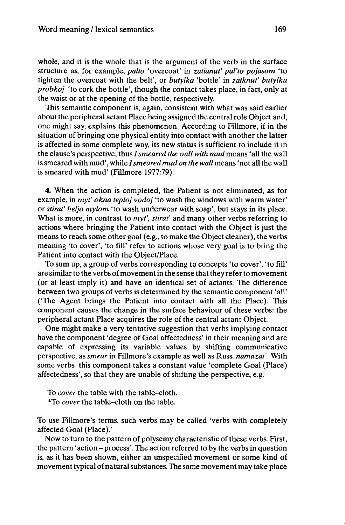whole, and it is the whole that is the argument of the verb in the surface structure as, for example, *palto* 'overcoat' in *zatianut' pal'to pojasom* 'to tighten the overcoat with the belt', or *butylka* 'bottle' in *zatknut' butylku probkoj* 'to cork the bottle', though the contact takes place, in fact, only at the waist or at the opening of the bottle, respectively.

This semantic component is, again, consistent with what was said earlier about the peripheral actant Place being assigned the central role Object and, one might say, explains this phenomenon. According to Fillmore, if in the situation of bringing one physical entity into contact with another the latter is affected in some complete way, its new status is sufficient to include it in the clause's perspective; thus *Ismeared the wall with mud* means 'all the wall is smeared with mud', while *Ismeared mud on the wall* means 'not all the wall is smeared with mud' (Fillmore 1977:79).

4. When the action is completed, the Patient is not eliminated, as for example, in *myt' okna teploj vodoj* 'to wash the windows with warm water' or *stirat' beljo mylom* 'to wash underwear with soap', but stays in its place. What is more, in contrast to *myt'*, *stirat'* and many other verbs referring to actions where bringing the Patient into contact with the Object is just the means to reach some other goal (e.g., to make the Object cleaner), the verbs meaning 'to cover', 'to fill' refer to actions whose very goal is to bring the Patient into contact with the Object/Place.

To sum up, a group of verbs corresponding to concepts 'to cover', 'to fill' are similar to the verbs of movement in the sense that they refer to movement (or at least imply it) and have an identical set of actants. The difference between two groups of verbs is determined by the semantic component 'all' ('The Agent brings the Patient into contact with all the Place). This component causes the change in the surface behaviour of these verbs: the peripheral actant Place acquires the role of the central actant Object.

One might make a very tentative suggestion that verbs implying contact have the component 'degree of Goal affectedness' in their meaning and are capable of expressing its variable values by shifting communicative perspective, as *smear* in Fillmore's example as well as Russ. *namazat'.* With some verbs this component takes a constant value 'complete Goal (Place) affectedness', so that they are unable of shifting the perspective, e.g.

To *cover* the table with the table-cloth. \*To *cover* the table-cloth on the table.

To use Fillmore's terms, such verbs may be called 'verbs with completely affected Goal (Place).'

Now to turn to the pattern of polysemy characteristic of these verbs. First, the pattern 'action - process'. The action referred to by the verbs in question is, as it has been shown, either an unspecified movement or some kind of movement typical of natural substances. The same movement may take place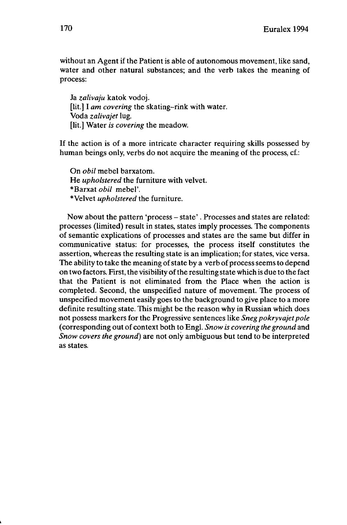without an Agent if the Patient is able of autonomous movement, like sand, water and other natural substances; and the verb takes the meaning of process:

Ja *zalivaju* katok vodoj. [lit.] I *am covering* the skating-rink with water. Voda *zalivajet* lug. [lit.] Water *is covering* the meadow.

If the action is of a more intricate character requiring skills possessed by human beings only, verbs do not acquire the meaning of the process, cf.:

On *obil* mebel barxatom. He *upholstered* the furniture with velvet. \*Barxat *obil* mebel'. •Velvet *upholstered* the furniture.

Now about the pattern 'process – state'. Processes and states are related: processes (limited) result in states, states imply processes. The components of semantic explications of processes and states are the same but differ in communicative status: for processes, the process itself constitutes the assertion, whereas the resulting state is an implication; for states, vice versa. The ability to take the meaning of state by a verb of process seems to depend on two factors. First, the visibility of the resulting state which is due to the fact that the Patient is not eliminated from the Place when the action is completed. Second, the unspecified nature of movement. The process of unspecified movement easily goes to the background to give place to a more definite resulting state. This might be the reason why in Russian which does not possess markers for the Progressive sentences like *Sneg pokryvajetpole* (corresponding out of context both to Engl. *Snow is covering the ground* and *Snow covers the ground)* are not only ambiguous but tend to be interpreted as states.